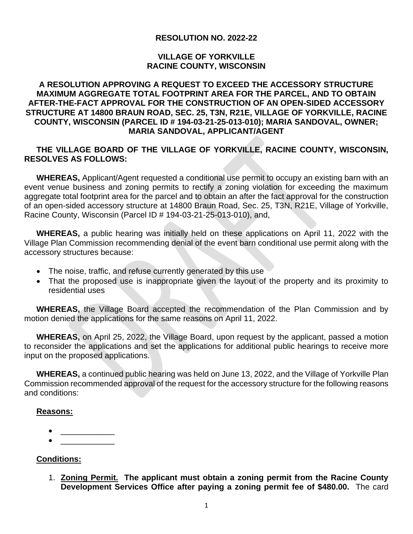## **RESOLUTION NO. 2022-22**

#### **VILLAGE OF YORKVILLE RACINE COUNTY, WISCONSIN**

## **A RESOLUTION APPROVING A REQUEST TO EXCEED THE ACCESSORY STRUCTURE MAXIMUM AGGREGATE TOTAL FOOTPRINT AREA FOR THE PARCEL, AND TO OBTAIN AFTER-THE-FACT APPROVAL FOR THE CONSTRUCTION OF AN OPEN-SIDED ACCESSORY STRUCTURE AT 14800 BRAUN ROAD, SEC. 25, T3N, R21E, VILLAGE OF YORKVILLE, RACINE COUNTY, WISCONSIN (PARCEL ID # 194-03-21-25-013-010); MARIA SANDOVAL, OWNER; MARIA SANDOVAL, APPLICANT/AGENT**

## **THE VILLAGE BOARD OF THE VILLAGE OF YORKVILLE, RACINE COUNTY, WISCONSIN, RESOLVES AS FOLLOWS:**

**WHEREAS,** Applicant/Agent requested a conditional use permit to occupy an existing barn with an event venue business and zoning permits to rectify a zoning violation for exceeding the maximum aggregate total footprint area for the parcel and to obtain an after the fact approval for the construction of an open-sided accessory structure at 14800 Braun Road, Sec. 25, T3N, R21E, Village of Yorkville, Racine County, Wisconsin (Parcel ID # 194-03-21-25-013-010), and,

**WHEREAS,** a public hearing was initially held on these applications on April 11, 2022 with the Village Plan Commission recommending denial of the event barn conditional use permit along with the accessory structures because:

- The noise, traffic, and refuse currently generated by this use
- That the proposed use is inappropriate given the layout of the property and its proximity to residential uses

**WHEREAS,** the Village Board accepted the recommendation of the Plan Commission and by motion denied the applications for the same reasons on April 11, 2022.

**WHEREAS,** on April 25, 2022, the Village Board, upon request by the applicant, passed a motion to reconsider the applications and set the applications for additional public hearings to receive more input on the proposed applications.

**WHEREAS,** a continued public hearing was held on June 13, 2022, and the Village of Yorkville Plan Commission recommended approval of the request for the accessory structure for the following reasons and conditions:

#### **Reasons:**

• \_\_\_\_\_\_\_\_\_\_\_\_ • \_\_\_\_\_\_\_\_\_\_\_\_

## **Conditions:**

1. **Zoning Permit. The applicant must obtain a zoning permit from the Racine County Development Services Office after paying a zoning permit fee of \$480.00.** The card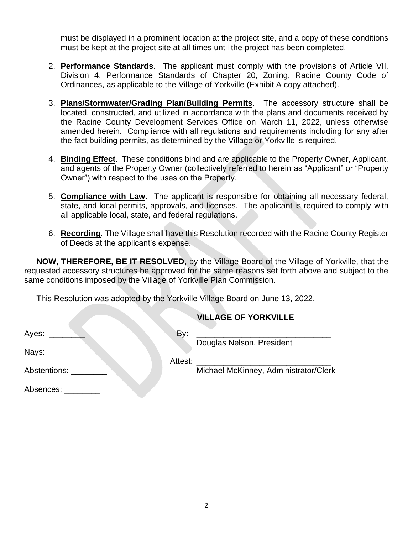must be displayed in a prominent location at the project site, and a copy of these conditions must be kept at the project site at all times until the project has been completed.

- 2. **Performance Standards**. The applicant must comply with the provisions of Article VII, Division 4, Performance Standards of Chapter 20, Zoning, Racine County Code of Ordinances, as applicable to the Village of Yorkville (Exhibit A copy attached).
- 3. **Plans/Stormwater/Grading Plan/Building Permits**. The accessory structure shall be located, constructed, and utilized in accordance with the plans and documents received by the Racine County Development Services Office on March 11, 2022, unless otherwise amended herein. Compliance with all regulations and requirements including for any after the fact building permits, as determined by the Village or Yorkville is required.
- 4. **Binding Effect**. These conditions bind and are applicable to the Property Owner, Applicant, and agents of the Property Owner (collectively referred to herein as "Applicant" or "Property Owner") with respect to the uses on the Property.
- 5. **Compliance with Law**. The applicant is responsible for obtaining all necessary federal, state, and local permits, approvals, and licenses. The applicant is required to comply with all applicable local, state, and federal regulations.
- 6. **Recording**. The Village shall have this Resolution recorded with the Racine County Register of Deeds at the applicant's expense.

**NOW, THEREFORE, BE IT RESOLVED,** by the Village Board of the Village of Yorkville, that the requested accessory structures be approved for the same reasons set forth above and subject to the same conditions imposed by the Village of Yorkville Plan Commission.

This Resolution was adopted by the Yorkville Village Board on June 13, 2022.

|                             |     | <b>VILLAGE OF YORKVILLE</b>                                                                                           |
|-----------------------------|-----|-----------------------------------------------------------------------------------------------------------------------|
| Ayes:                       | By: | <u> 1989 - Johann Harry Harry Harry Harry Harry Harry Harry Harry Harry Harry Harry Harry Harry Harry Harry Harry</u> |
| Nays: <b>National State</b> |     | Douglas Nelson, President                                                                                             |
| Abstentions:                |     | Michael McKinney, Administrator/Clerk                                                                                 |
|                             |     |                                                                                                                       |
| Absences: Absences:         |     |                                                                                                                       |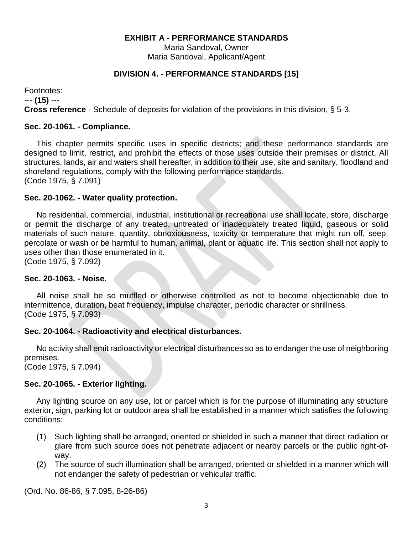### **EXHIBIT A - PERFORMANCE STANDARDS**

Maria Sandoval, Owner Maria Sandoval, Applicant/Agent

# **DIVISION 4. - PERFORMANCE STANDARDS [15]**

Footnotes: --- **(15)** --- **Cross reference** - Schedule of deposits for violation of the provisions in this division, § 5-3.

## **Sec. 20-1061. - Compliance.**

This chapter permits specific uses in specific districts; and these performance standards are designed to limit, restrict, and prohibit the effects of those uses outside their premises or district. All structures, lands, air and waters shall hereafter, in addition to their use, site and sanitary, floodland and shoreland regulations, comply with the following performance standards. (Code 1975, § 7.091)

### **Sec. 20-1062. - Water quality protection.**

No residential, commercial, industrial, institutional or recreational use shall locate, store, discharge or permit the discharge of any treated, untreated or inadequately treated liquid, gaseous or solid materials of such nature, quantity, obnoxiousness, toxicity or temperature that might run off, seep, percolate or wash or be harmful to human, animal, plant or aquatic life. This section shall not apply to uses other than those enumerated in it.

(Code 1975, § 7.092)

#### **Sec. 20-1063. - Noise.**

All noise shall be so muffled or otherwise controlled as not to become objectionable due to intermittence, duration, beat frequency, impulse character, periodic character or shrillness. (Code 1975, § 7.093)

#### **Sec. 20-1064. - Radioactivity and electrical disturbances.**

No activity shall emit radioactivity or electrical disturbances so as to endanger the use of neighboring premises.

(Code 1975, § 7.094)

#### **Sec. 20-1065. - Exterior lighting.**

Any lighting source on any use, lot or parcel which is for the purpose of illuminating any structure exterior, sign, parking lot or outdoor area shall be established in a manner which satisfies the following conditions:

- (1) Such lighting shall be arranged, oriented or shielded in such a manner that direct radiation or glare from such source does not penetrate adjacent or nearby parcels or the public right-ofway.
- (2) The source of such illumination shall be arranged, oriented or shielded in a manner which will not endanger the safety of pedestrian or vehicular traffic.

(Ord. No. 86-86, § 7.095, 8-26-86)